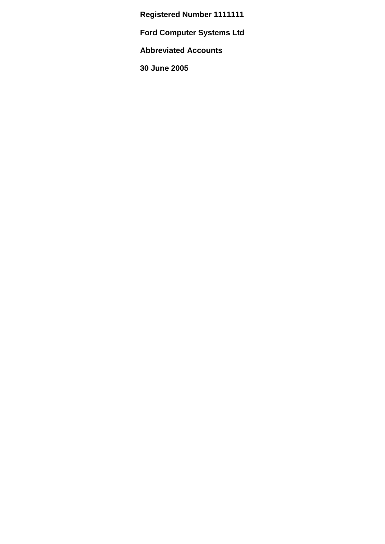**Registered Number 1111111**

**Ford Computer Systems Ltd**

**Abbreviated Accounts** 

**30 June 2005**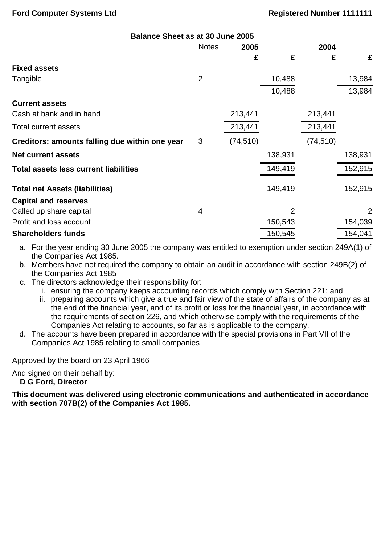| <b>Balance Sheet as at 30 June 2005</b>        |                |           |                |           |         |
|------------------------------------------------|----------------|-----------|----------------|-----------|---------|
|                                                | <b>Notes</b>   | 2005      | 2004           |           |         |
|                                                |                | £         | £              | £         | £       |
| <b>Fixed assets</b>                            |                |           |                |           |         |
| Tangible                                       | $\overline{2}$ |           | 10,488         |           | 13,984  |
|                                                |                |           | 10,488         |           | 13,984  |
| <b>Current assets</b>                          |                |           |                |           |         |
| Cash at bank and in hand                       |                | 213,441   |                | 213,441   |         |
| <b>Total current assets</b>                    |                | 213,441   |                | 213,441   |         |
| Creditors: amounts falling due within one year | 3              | (74, 510) |                | (74, 510) |         |
| <b>Net current assets</b>                      |                |           | 138,931        |           | 138,931 |
| <b>Total assets less current liabilities</b>   |                |           | 149,419        |           | 152,915 |
| <b>Total net Assets (liabilities)</b>          |                |           | 149,419        |           | 152,915 |
| <b>Capital and reserves</b>                    |                |           |                |           |         |
| Called up share capital                        | $\overline{4}$ |           | $\overline{2}$ |           | 2       |
| Profit and loss account                        |                |           | 150,543        |           | 154,039 |
| <b>Shareholders funds</b>                      |                |           | 150,545        |           | 154,041 |

- a. For the year ending 30 June 2005 the company was entitled to exemption under section 249A(1) of the Companies Act 1985.
- b. Members have not required the company to obtain an audit in accordance with section 249B(2) of the Companies Act 1985
- c. The directors acknowledge their responsibility for:
	- i. ensuring the company keeps accounting records which comply with Section 221; and
	- ii. preparing accounts which give a true and fair view of the state of affairs of the company as at the end of the financial year, and of its profit or loss for the financial year, in accordance with the requirements of section 226, and which otherwise comply with the requirements of the Companies Act relating to accounts, so far as is applicable to the company.
- d. The accounts have been prepared in accordance with the special provisions in Part VII of the Companies Act 1985 relating to small companies

Approved by the board on 23 April 1966

And signed on their behalf by:

**D G Ford, Director**

**This document was delivered using electronic communications and authenticated in accordance with section 707B(2) of the Companies Act 1985.**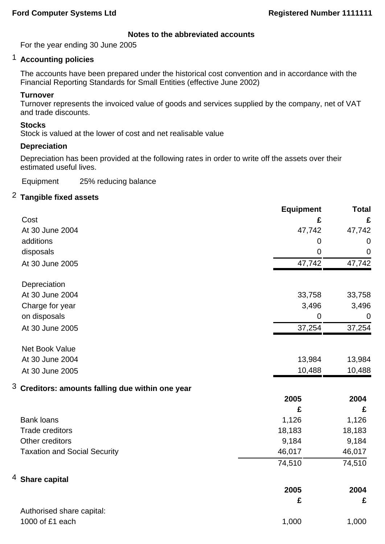## **Notes to the abbreviated accounts**

For the year ending 30 June 2005

# 1 **Accounting policies**

The accounts have been prepared under the historical cost convention and in accordance with the Financial Reporting Standards for Small Entities (effective June 2002)

## **Turnover**

Turnover represents the invoiced value of goods and services supplied by the company, net of VAT and trade discounts.

## **Stocks**

Stock is valued at the lower of cost and net realisable value

#### **Depreciation**

Depreciation has been provided at the following rates in order to write off the assets over their estimated useful lives.

Equipment 25% reducing balance

## 2 **Tangible fixed assets**

|                                                     | <b>Equipment</b> | <b>Total</b>   |
|-----------------------------------------------------|------------------|----------------|
| Cost                                                | £                | £              |
| At 30 June 2004                                     | 47,742           | 47,742         |
| additions                                           | $\mathbf 0$      | $\mathbf 0$    |
| disposals                                           | $\overline{0}$   | $\mathbf 0$    |
| At 30 June 2005                                     | 47,742           | 47,742         |
| Depreciation                                        |                  |                |
| At 30 June 2004                                     | 33,758           | 33,758         |
| Charge for year                                     | 3,496            | 3,496          |
| on disposals                                        | $\mathbf 0$      | $\overline{0}$ |
| At 30 June 2005                                     | 37,254           | 37,254         |
| Net Book Value                                      |                  |                |
| At 30 June 2004                                     | 13,984           | 13,984         |
| At 30 June 2005                                     | 10,488           | 10,488         |
| 3<br>Creditors: amounts falling due within one year |                  |                |
|                                                     | 2005             | 2004           |
|                                                     | £                | £              |
| <b>Bank loans</b>                                   | 1,126            | 1,126          |
| <b>Trade creditors</b>                              | 18,183           | 18,183         |
| Other creditors                                     | 9,184            | 9,184          |
| <b>Taxation and Social Security</b>                 | 46,017           | 46,017         |
|                                                     | 74,510           | 74,510         |
| $^4$ Share capital                                  |                  |                |
|                                                     | 2005             | 2004           |
|                                                     | £                | £              |
| Authorised share capital:                           |                  |                |
| 1000 of £1 each                                     | 1,000            | 1,000          |
|                                                     |                  |                |